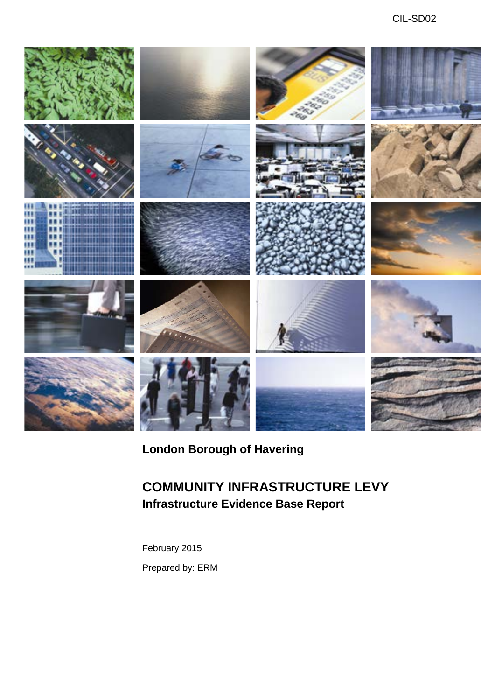

# **London Borough of Havering**

# **COMMUNITY INFRASTRUCTURE LEVY Infrastructure Evidence Base Report**

February 2015 Prepared by: ERM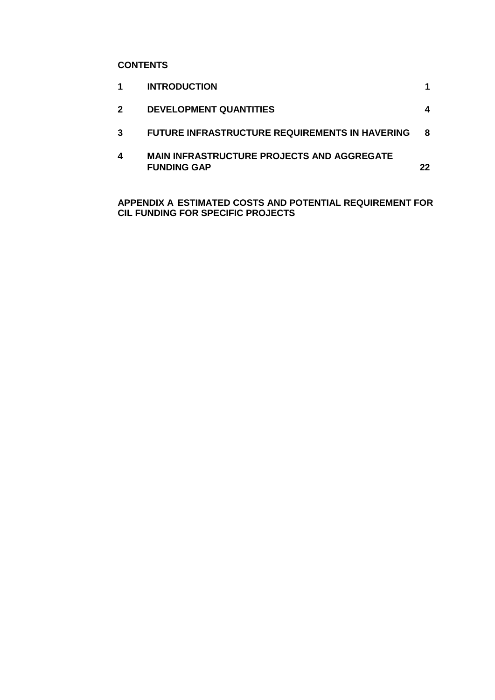# **CONTENTS**

|   | <b>INTRODUCTION</b>                                                     |     |
|---|-------------------------------------------------------------------------|-----|
| 2 | <b>DEVELOPMENT QUANTITIES</b>                                           | 4   |
| 3 | <b>FUTURE INFRASTRUCTURE REQUIREMENTS IN HAVERING</b>                   | 8   |
| 4 | <b>MAIN INFRASTRUCTURE PROJECTS AND AGGREGATE</b><br><b>FUNDING GAP</b> | 22. |

 **APPENDIX A ESTIMATED COSTS AND POTENTIAL REQUIREMENT FOR CIL FUNDING FOR SPECIFIC PROJECTS**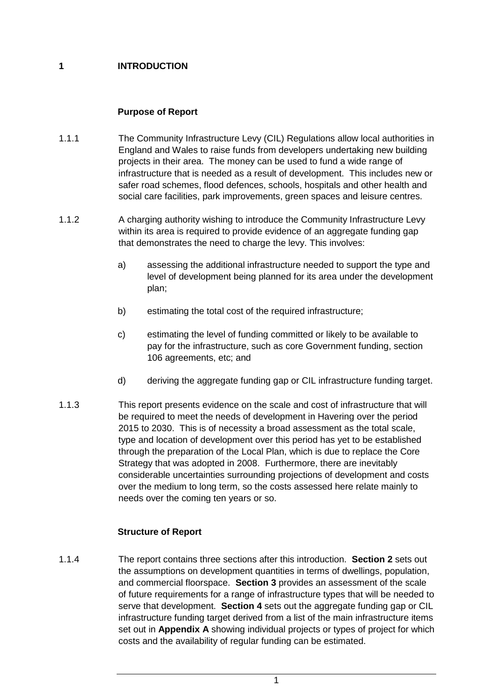# **1 INTRODUCTION**

# **Purpose of Report**

- 1.1.1 The Community Infrastructure Levy (CIL) Regulations allow local authorities in England and Wales to raise funds from developers undertaking new building projects in their area. The money can be used to fund a wide range of infrastructure that is needed as a result of development. This includes new or safer road schemes, flood defences, schools, hospitals and other health and social care facilities, park improvements, green spaces and leisure centres.
- 1.1.2 A charging authority wishing to introduce the Community Infrastructure Levy within its area is required to provide evidence of an aggregate funding gap that demonstrates the need to charge the levy. This involves:
	- a) assessing the additional infrastructure needed to support the type and level of development being planned for its area under the development plan;
	- b) estimating the total cost of the required infrastructure;
	- pay for the infrastructure, such as core Government funding, section c) estimating the level of funding committed or likely to be available to 106 agreements, etc; and
	- d) deriving the aggregate funding gap or CIL infrastructure funding target.
- 1.1.3 This report presents evidence on the scale and cost of infrastructure that will be required to meet the needs of development in Havering over the period 2015 to 2030. This is of necessity a broad assessment as the total scale, type and location of development over this period has yet to be established through the preparation of the Local Plan, which is due to replace the Core Strategy that was adopted in 2008. Furthermore, there are inevitably considerable uncertainties surrounding projections of development and costs over the medium to long term, so the costs assessed here relate mainly to needs over the coming ten years or so.

# **Structure of Report**

 1.1.4 The report contains three sections after this introduction. **Section 2** sets out and commercial floorspace. **Section 3** provides an assessment of the scale serve that development. **Section 4** sets out the aggregate funding gap or CIL infrastructure funding target derived from a list of the main infrastructure items set out in **Appendix A** showing individual projects or types of project for which costs and the availability of regular funding can be estimated. the assumptions on development quantities in terms of dwellings, population, of future requirements for a range of infrastructure types that will be needed to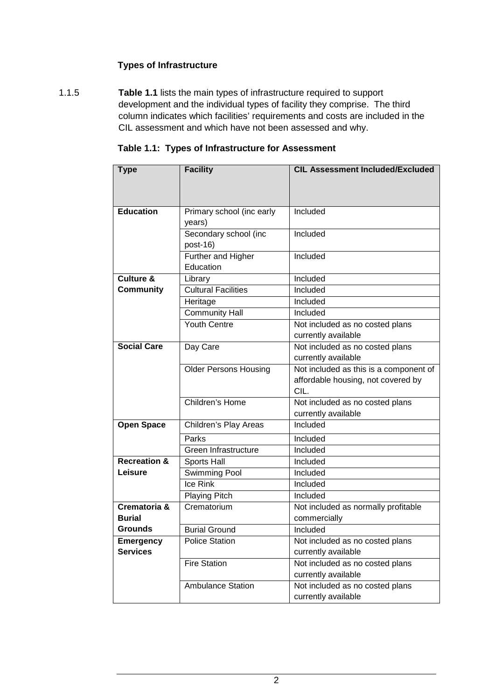# **Types of Infrastructure**

 1.1.5 **Table 1.1** lists the main types of infrastructure required to support development and the individual types of facility they comprise. The third CIL assessment and which have not been assessed and why. column indicates which facilities' requirements and costs are included in the

| <b>Type</b>             | <b>Facility</b>              | <b>CIL Assessment Included/Excluded</b> |
|-------------------------|------------------------------|-----------------------------------------|
|                         |                              |                                         |
|                         |                              |                                         |
| <b>Education</b>        | Primary school (inc early    | Included                                |
|                         | years)                       |                                         |
|                         | Secondary school (inc        | Included                                |
|                         | post-16)                     |                                         |
|                         | Further and Higher           | Included                                |
|                         | Education                    |                                         |
| <b>Culture &amp;</b>    | Library                      | Included                                |
| <b>Community</b>        | <b>Cultural Facilities</b>   | Included                                |
|                         | Heritage                     | Included                                |
|                         | Community Hall               | Included                                |
|                         | <b>Youth Centre</b>          | Not included as no costed plans         |
|                         |                              | currently available                     |
| <b>Social Care</b>      | Day Care                     | Not included as no costed plans         |
|                         |                              | currently available                     |
|                         | <b>Older Persons Housing</b> | Not included as this is a component of  |
|                         |                              | affordable housing, not covered by      |
|                         |                              | CIL.                                    |
|                         | Children's Home              | Not included as no costed plans         |
|                         |                              | currently available                     |
| <b>Open Space</b>       | Children's Play Areas        | Included                                |
|                         | Parks                        | Included                                |
|                         | Green Infrastructure         | Included                                |
| <b>Recreation &amp;</b> | Sports Hall                  | Included                                |
| Leisure                 | Swimming Pool                | Included                                |
|                         | Ice Rink                     | Included                                |
|                         | <b>Playing Pitch</b>         | Included                                |
| Crematoria &            | Crematorium                  | Not included as normally profitable     |
| <b>Burial</b>           |                              | commercially                            |
| <b>Grounds</b>          | <b>Burial Ground</b>         | Included                                |
| <b>Emergency</b>        | <b>Police Station</b>        | Not included as no costed plans         |
| <b>Services</b>         |                              | currently available                     |
|                         | Fire Station                 | Not included as no costed plans         |
|                         |                              | currently available                     |
|                         | <b>Ambulance Station</b>     | Not included as no costed plans         |
|                         |                              | currently available                     |

#### **Table 1.1: Types of Infrastructure for Assessment**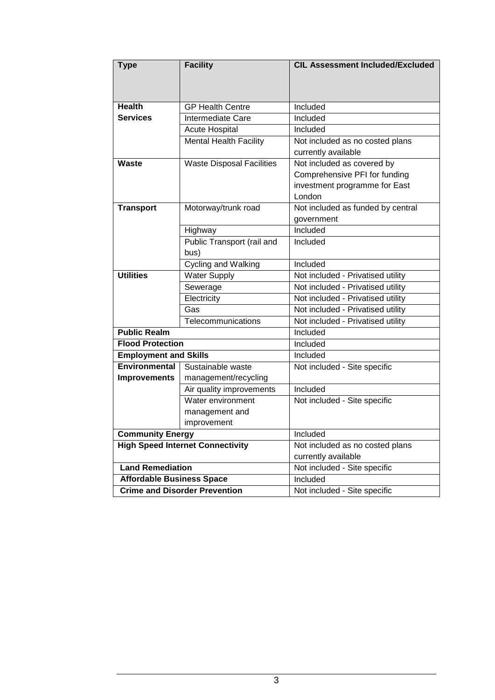| <b>Type</b>                          | <b>Facility</b>                         | <b>CIL Assessment Included/Excluded</b> |  |
|--------------------------------------|-----------------------------------------|-----------------------------------------|--|
|                                      |                                         |                                         |  |
|                                      |                                         |                                         |  |
| <b>Health</b>                        | <b>GP Health Centre</b>                 | Included                                |  |
| <b>Services</b>                      | Intermediate Care                       | Included                                |  |
|                                      | <b>Acute Hospital</b>                   | Included                                |  |
|                                      | <b>Mental Health Facility</b>           | Not included as no costed plans         |  |
|                                      |                                         | currently available                     |  |
| <b>Waste</b>                         | <b>Waste Disposal Facilities</b>        | Not included as covered by              |  |
|                                      |                                         | Comprehensive PFI for funding           |  |
|                                      |                                         | investment programme for East           |  |
|                                      |                                         | London                                  |  |
| <b>Transport</b>                     | Motorway/trunk road                     | Not included as funded by central       |  |
|                                      |                                         | government                              |  |
|                                      | Highway                                 | Included                                |  |
|                                      | Public Transport (rail and              | Included                                |  |
|                                      | bus)                                    |                                         |  |
|                                      | Cycling and Walking                     | Included                                |  |
| <b>Utilities</b>                     | <b>Water Supply</b>                     | Not included - Privatised utility       |  |
|                                      | Sewerage                                | Not included - Privatised utility       |  |
|                                      | Electricity                             | Not included - Privatised utility       |  |
|                                      | Gas                                     | Not included - Privatised utility       |  |
|                                      | Telecommunications                      | Not included - Privatised utility       |  |
| <b>Public Realm</b>                  |                                         | Included                                |  |
| <b>Flood Protection</b>              |                                         | Included                                |  |
| <b>Employment and Skills</b>         |                                         | Included                                |  |
| <b>Environmental</b>                 | Sustainable waste                       | Not included - Site specific            |  |
| <b>Improvements</b>                  | management/recycling                    |                                         |  |
|                                      | Air quality improvements                | Included                                |  |
|                                      | Water environment                       | Not included - Site specific            |  |
|                                      | management and                          |                                         |  |
|                                      | improvement                             |                                         |  |
| <b>Community Energy</b>              |                                         | Included                                |  |
|                                      | <b>High Speed Internet Connectivity</b> | Not included as no costed plans         |  |
|                                      |                                         | currently available                     |  |
| <b>Land Remediation</b>              |                                         | Not included - Site specific            |  |
| <b>Affordable Business Space</b>     |                                         | Included                                |  |
| <b>Crime and Disorder Prevention</b> |                                         | Not included - Site specific            |  |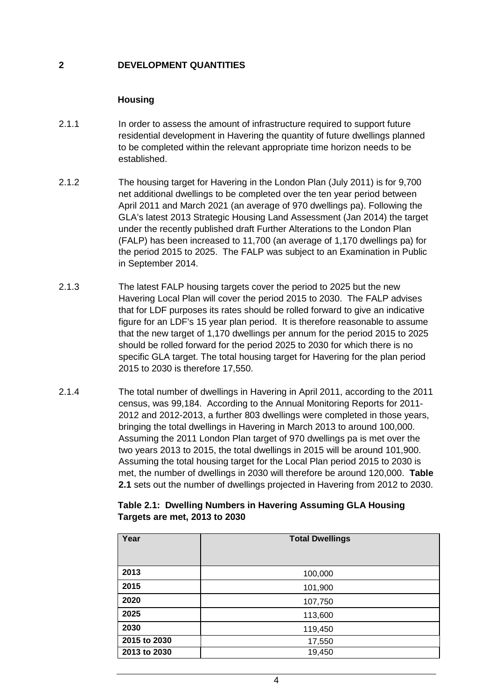# **2 DEVELOPMENT QUANTITIES**

#### **Housing**

- 2.1.1 In order to assess the amount of infrastructure required to support future residential development in Havering the quantity of future dwellings planned to be completed within the relevant appropriate time horizon needs to be established.
- 2.1.2 The housing target for Havering in the London Plan (July 2011) is for 9,700 under the recently published draft Further Alterations to the London Plan (FALP) has been increased to 11,700 (an average of 1,170 dwellings pa) for the period 2015 to 2025. The FALP was subject to an Examination in Public net additional dwellings to be completed over the ten year period between April 2011 and March 2021 (an average of 970 dwellings pa). Following the GLA's latest 2013 Strategic Housing Land Assessment (Jan 2014) the target in September 2014.
- 2.1.3 The latest FALP housing targets cover the period to 2025 but the new Havering Local Plan will cover the period 2015 to 2030. The FALP advises that for LDF purposes its rates should be rolled forward to give an indicative that the new target of 1,170 dwellings per annum for the period 2015 to 2025 figure for an LDF's 15 year plan period. It is therefore reasonable to assume should be rolled forward for the period 2025 to 2030 for which there is no specific GLA target. The total housing target for Havering for the plan period 2015 to 2030 is therefore 17,550.
- census, was 99,184. According to the Annual Monitoring Reports for 2011 Assuming the 2011 London Plan target of 970 dwellings pa is met over the two years 2013 to 2015, the total dwellings in 2015 will be around 101,900. Assuming the total housing target for the Local Plan period 2015 to 2030 is met, the number of dwellings in 2030 will therefore be around 120,000. **Table**  2.1.4 The total number of dwellings in Havering in April 2011, according to the 2011 2012 and 2012-2013, a further 803 dwellings were completed in those years, bringing the total dwellings in Havering in March 2013 to around 100,000. **2.1** sets out the number of dwellings projected in Havering from 2012 to 2030.

#### **Table 2.1: Dwelling Numbers in Havering Assuming GLA Housing Targets are met, 2013 to 2030**

| Year         | <b>Total Dwellings</b> |
|--------------|------------------------|
|              |                        |
| 2013         | 100,000                |
| 2015         | 101,900                |
| 2020         | 107,750                |
| 2025         | 113,600                |
| 2030         | 119,450                |
| 2015 to 2030 | 17,550                 |
| 2013 to 2030 | 19,450                 |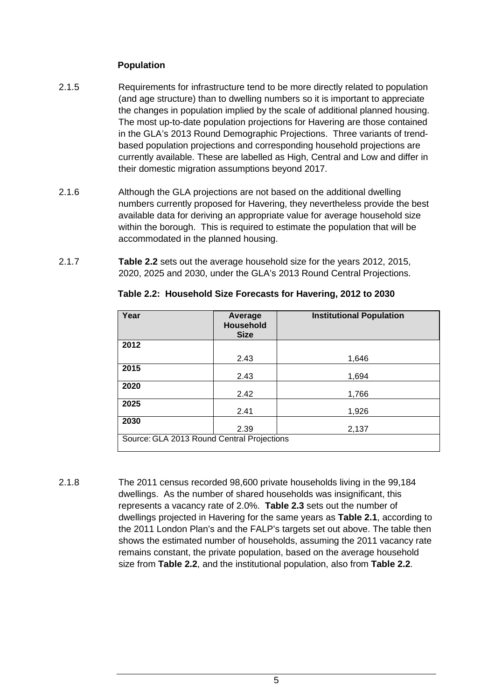#### **Population**

- in the GLA's 2013 Round Demographic Projections. Three variants of trend-2.1.5 Requirements for infrastructure tend to be more directly related to population (and age structure) than to dwelling numbers so it is important to appreciate the changes in population implied by the scale of additional planned housing. The most up-to-date population projections for Havering are those contained based population projections and corresponding household projections are currently available. These are labelled as High, Central and Low and differ in their domestic migration assumptions beyond 2017.
- numbers currently proposed for Havering, they nevertheless provide the best within the borough. This is required to estimate the population that will be 2.1.6 Although the GLA projections are not based on the additional dwelling available data for deriving an appropriate value for average household size accommodated in the planned housing.
- 2.1.7 **Table 2.2** sets out the average household size for the years 2012, 2015, 2020, 2025 and 2030, under the GLA's 2013 Round Central Projections.

| Year                                       | Average<br><b>Household</b><br><b>Size</b> | <b>Institutional Population</b> |
|--------------------------------------------|--------------------------------------------|---------------------------------|
| 2012                                       |                                            |                                 |
|                                            | 2.43                                       | 1,646                           |
| 2015                                       | 2.43                                       | 1,694                           |
| 2020                                       | 2.42                                       | 1,766                           |
| 2025                                       | 2.41                                       | 1,926                           |
| 2030                                       | 2.39                                       | 2,137                           |
| Source: GLA 2013 Round Central Projections |                                            |                                 |

**Table 2.2: Household Size Forecasts for Havering, 2012 to 2030** 

 represents a vacancy rate of 2.0%. **Table 2.3** sets out the number of dwellings projected in Havering for the same years as **Table 2.1**, according to 2.1.8 The 2011 census recorded 98,600 private households living in the 99,184 dwellings. As the number of shared households was insignificant, this the 2011 London Plan's and the FALP's targets set out above. The table then shows the estimated number of households, assuming the 2011 vacancy rate remains constant, the private population, based on the average household size from **Table 2.2**, and the institutional population, also from **Table 2.2**.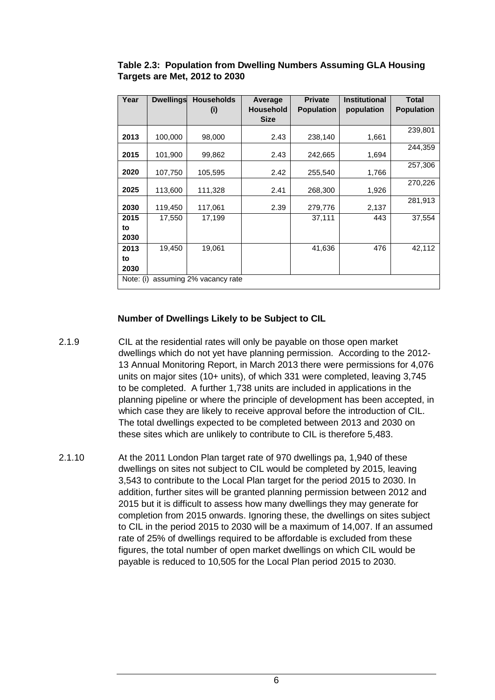| Year                                  | <b>Dwellings</b> | <b>Households</b><br>(i) | Average<br><b>Household</b> | <b>Private</b><br><b>Population</b> | <b>Institutional</b><br>population | <b>Total</b><br><b>Population</b> |
|---------------------------------------|------------------|--------------------------|-----------------------------|-------------------------------------|------------------------------------|-----------------------------------|
|                                       |                  |                          | <b>Size</b>                 |                                     |                                    |                                   |
| 2013                                  | 100,000          | 98,000                   | 2.43                        | 238,140                             | 1,661                              | 239,801                           |
| 2015                                  | 101,900          | 99,862                   | 2.43                        | 242,665                             | 1,694                              | 244,359                           |
| 2020                                  | 107,750          | 105,595                  | 2.42                        | 255,540                             | 1,766                              | 257,306                           |
| 2025                                  | 113,600          | 111,328                  | 2.41                        | 268,300                             | 1,926                              | 270,226                           |
| 2030                                  | 119,450          | 117,061                  | 2.39                        | 279,776                             | 2,137                              | 281,913                           |
| 2015<br>to                            | 17,550           | 17,199                   |                             | 37,111                              | 443                                | 37,554                            |
| 2030                                  |                  |                          |                             |                                     |                                    |                                   |
| 2013                                  | 19,450           | 19,061                   |                             | 41,636                              | 476                                | 42,112                            |
| to<br>2030                            |                  |                          |                             |                                     |                                    |                                   |
| assuming 2% vacancy rate<br>Note: (i) |                  |                          |                             |                                     |                                    |                                   |

#### **Table 2.3: Population from Dwelling Numbers Assuming GLA Housing Targets are Met, 2012 to 2030**

#### **Number of Dwellings Likely to be Subject to CIL**

- 13 Annual Monitoring Report, in March 2013 there were permissions for 4,076 2.1.9 CIL at the residential rates will only be payable on those open market dwellings which do not yet have planning permission. According to the 2012 units on major sites (10+ units), of which 331 were completed, leaving 3,745 to be completed. A further 1,738 units are included in applications in the planning pipeline or where the principle of development has been accepted, in which case they are likely to receive approval before the introduction of CIL. The total dwellings expected to be completed between 2013 and 2030 on these sites which are unlikely to contribute to CIL is therefore 5,483.
- 2015 but it is difficult to assess how many dwellings they may generate for 2.1.10 At the 2011 London Plan target rate of 970 dwellings pa, 1,940 of these dwellings on sites not subject to CIL would be completed by 2015, leaving 3,543 to contribute to the Local Plan target for the period 2015 to 2030. In addition, further sites will be granted planning permission between 2012 and completion from 2015 onwards. Ignoring these, the dwellings on sites subject to CIL in the period 2015 to 2030 will be a maximum of 14,007. If an assumed rate of 25% of dwellings required to be affordable is excluded from these figures, the total number of open market dwellings on which CIL would be payable is reduced to 10,505 for the Local Plan period 2015 to 2030.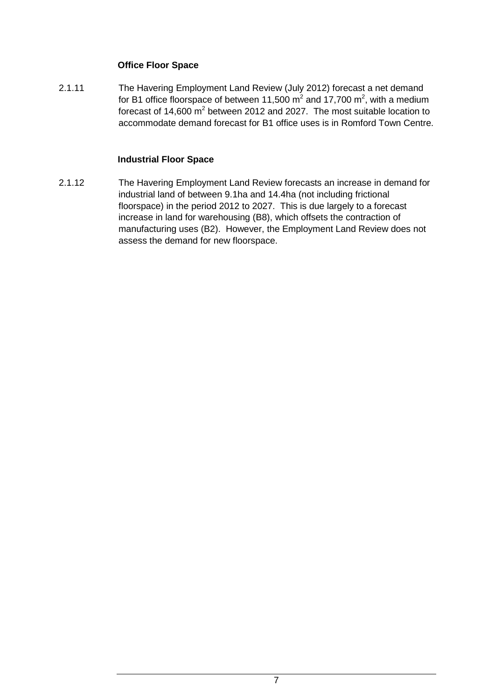# **Office Floor Space**

forecast of 14,600  $m^2$  between 2012 and 2027. The most suitable location to accommodate demand forecast for B1 office uses is in Romford Town Centre. 2.1.11 The Havering Employment Land Review (July 2012) forecast a net demand for B1 office floorspace of between 11,500  $\text{m}^2$  and 17,700  $\text{m}^2$ , with a medium

# **Industrial Floor Space**

 industrial land of between 9.1ha and 14.4ha (not including frictional floorspace) in the period 2012 to 2027. This is due largely to a forecast manufacturing uses (B2). However, the Employment Land Review does not 2.1.12 The Havering Employment Land Review forecasts an increase in demand for increase in land for warehousing (B8), which offsets the contraction of assess the demand for new floorspace.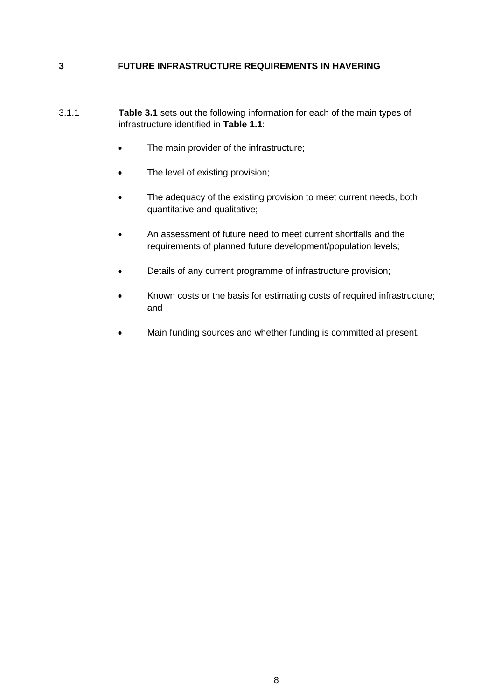#### **3 FUTURE INFRASTRUCTURE REQUIREMENTS IN HAVERING**

- 3.1.1 **Table 3.1** sets out the following information for each of the main types of infrastructure identified in **Table 1.1**:
	- The main provider of the infrastructure;
	- The level of existing provision;
	- The adequacy of the existing provision to meet current needs, both quantitative and qualitative;
	- An assessment of future need to meet current shortfalls and the requirements of planned future development/population levels;
	- Details of any current programme of infrastructure provision;
	- Known costs or the basis for estimating costs of required infrastructure; and
	- Main funding sources and whether funding is committed at present.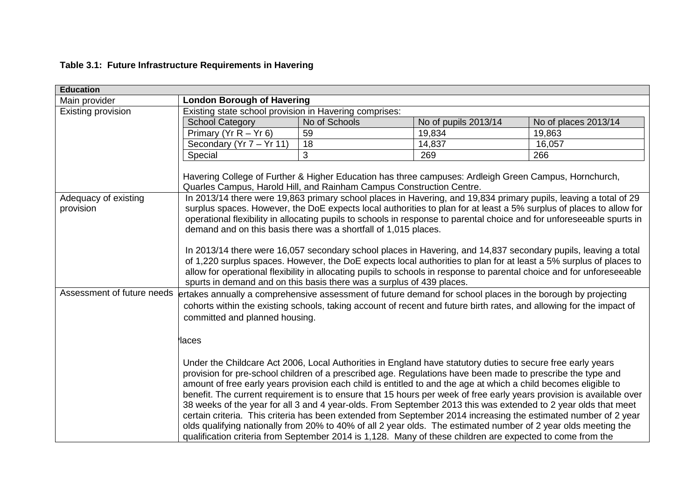# **Table 3.1: Future Infrastructure Requirements in Havering**

| <b>Education</b>           |                                                                                                                                                                                                                                                                                                                                                                                                                                                                                                                                                                                                                                                                                                                                                                                                                   |                                                                       |                      |                                                                                                                                                                                                                                                                                                                                                                |
|----------------------------|-------------------------------------------------------------------------------------------------------------------------------------------------------------------------------------------------------------------------------------------------------------------------------------------------------------------------------------------------------------------------------------------------------------------------------------------------------------------------------------------------------------------------------------------------------------------------------------------------------------------------------------------------------------------------------------------------------------------------------------------------------------------------------------------------------------------|-----------------------------------------------------------------------|----------------------|----------------------------------------------------------------------------------------------------------------------------------------------------------------------------------------------------------------------------------------------------------------------------------------------------------------------------------------------------------------|
| Main provider              | <b>London Borough of Havering</b>                                                                                                                                                                                                                                                                                                                                                                                                                                                                                                                                                                                                                                                                                                                                                                                 |                                                                       |                      |                                                                                                                                                                                                                                                                                                                                                                |
| Existing provision         | Existing state school provision in Havering comprises:                                                                                                                                                                                                                                                                                                                                                                                                                                                                                                                                                                                                                                                                                                                                                            |                                                                       |                      |                                                                                                                                                                                                                                                                                                                                                                |
|                            | <b>School Category</b>                                                                                                                                                                                                                                                                                                                                                                                                                                                                                                                                                                                                                                                                                                                                                                                            | No of Schools                                                         | No of pupils 2013/14 | No of places 2013/14                                                                                                                                                                                                                                                                                                                                           |
|                            | Primary ( $Yr R - Yr 6$ )                                                                                                                                                                                                                                                                                                                                                                                                                                                                                                                                                                                                                                                                                                                                                                                         | 59                                                                    | 19,834               | 19,863                                                                                                                                                                                                                                                                                                                                                         |
|                            | Secondary (Yr 7 - Yr 11)                                                                                                                                                                                                                                                                                                                                                                                                                                                                                                                                                                                                                                                                                                                                                                                          | 18                                                                    | 14,837               | 16,057                                                                                                                                                                                                                                                                                                                                                         |
|                            | Special                                                                                                                                                                                                                                                                                                                                                                                                                                                                                                                                                                                                                                                                                                                                                                                                           | 3                                                                     | 269                  | 266                                                                                                                                                                                                                                                                                                                                                            |
| Adequacy of existing       | Havering College of Further & Higher Education has three campuses: Ardleigh Green Campus, Hornchurch,<br>Quarles Campus, Harold Hill, and Rainham Campus Construction Centre.                                                                                                                                                                                                                                                                                                                                                                                                                                                                                                                                                                                                                                     |                                                                       |                      | In 2013/14 there were 19,863 primary school places in Havering, and 19,834 primary pupils, leaving a total of 29                                                                                                                                                                                                                                               |
| provision                  |                                                                                                                                                                                                                                                                                                                                                                                                                                                                                                                                                                                                                                                                                                                                                                                                                   | demand and on this basis there was a shortfall of 1,015 places.       |                      | surplus spaces. However, the DoE expects local authorities to plan for at least a 5% surplus of places to allow for<br>operational flexibility in allocating pupils to schools in response to parental choice and for unforeseeable spurts in                                                                                                                  |
|                            |                                                                                                                                                                                                                                                                                                                                                                                                                                                                                                                                                                                                                                                                                                                                                                                                                   | spurts in demand and on this basis there was a surplus of 439 places. |                      | In 2013/14 there were 16,057 secondary school places in Havering, and 14,837 secondary pupils, leaving a total<br>of 1,220 surplus spaces. However, the DoE expects local authorities to plan for at least a 5% surplus of places to<br>allow for operational flexibility in allocating pupils to schools in response to parental choice and for unforeseeable |
| Assessment of future needs | ertakes annually a comprehensive assessment of future demand for school places in the borough by projecting<br>cohorts within the existing schools, taking account of recent and future birth rates, and allowing for the impact of<br>committed and planned housing.                                                                                                                                                                                                                                                                                                                                                                                                                                                                                                                                             |                                                                       |                      |                                                                                                                                                                                                                                                                                                                                                                |
|                            | laces                                                                                                                                                                                                                                                                                                                                                                                                                                                                                                                                                                                                                                                                                                                                                                                                             |                                                                       |                      |                                                                                                                                                                                                                                                                                                                                                                |
|                            | Under the Childcare Act 2006, Local Authorities in England have statutory duties to secure free early years<br>provision for pre-school children of a prescribed age. Regulations have been made to prescribe the type and<br>amount of free early years provision each child is entitled to and the age at which a child becomes eligible to<br>38 weeks of the year for all 3 and 4 year-olds. From September 2013 this was extended to 2 year olds that meet<br>certain criteria. This criteria has been extended from September 2014 increasing the estimated number of 2 year<br>olds qualifying nationally from 20% to 40% of all 2 year olds. The estimated number of 2 year olds meeting the<br>qualification criteria from September 2014 is 1,128. Many of these children are expected to come from the |                                                                       |                      | benefit. The current requirement is to ensure that 15 hours per week of free early years provision is available over                                                                                                                                                                                                                                           |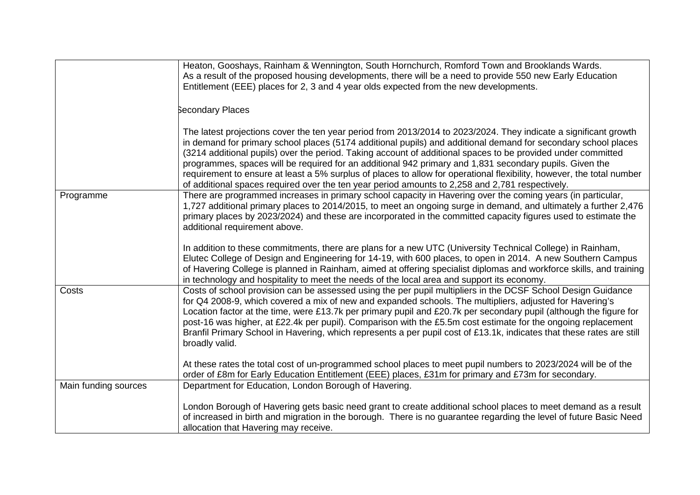|                      | Heaton, Gooshays, Rainham & Wennington, South Hornchurch, Romford Town and Brooklands Wards.<br>As a result of the proposed housing developments, there will be a need to provide 550 new Early Education<br>Entitlement (EEE) places for 2, 3 and 4 year olds expected from the new developments.                                                                                                                                                                                                                                                                                                                                                                                        |
|----------------------|-------------------------------------------------------------------------------------------------------------------------------------------------------------------------------------------------------------------------------------------------------------------------------------------------------------------------------------------------------------------------------------------------------------------------------------------------------------------------------------------------------------------------------------------------------------------------------------------------------------------------------------------------------------------------------------------|
|                      | <b>Secondary Places</b>                                                                                                                                                                                                                                                                                                                                                                                                                                                                                                                                                                                                                                                                   |
|                      | The latest projections cover the ten year period from 2013/2014 to 2023/2024. They indicate a significant growth<br>in demand for primary school places (5174 additional pupils) and additional demand for secondary school places<br>(3214 additional pupils) over the period. Taking account of additional spaces to be provided under committed<br>programmes, spaces will be required for an additional 942 primary and 1,831 secondary pupils. Given the<br>requirement to ensure at least a 5% surplus of places to allow for operational flexibility, however, the total number<br>of additional spaces required over the ten year period amounts to 2,258 and 2,781 respectively. |
| Programme            | There are programmed increases in primary school capacity in Havering over the coming years (in particular,<br>1,727 additional primary places to 2014/2015, to meet an ongoing surge in demand, and ultimately a further 2,476<br>primary places by 2023/2024) and these are incorporated in the committed capacity figures used to estimate the<br>additional requirement above.                                                                                                                                                                                                                                                                                                        |
|                      | In addition to these commitments, there are plans for a new UTC (University Technical College) in Rainham,<br>Elutec College of Design and Engineering for 14-19, with 600 places, to open in 2014. A new Southern Campus<br>of Havering College is planned in Rainham, aimed at offering specialist diplomas and workforce skills, and training<br>in technology and hospitality to meet the needs of the local area and support its economy.                                                                                                                                                                                                                                            |
| Costs                | Costs of school provision can be assessed using the per pupil multipliers in the DCSF School Design Guidance<br>for Q4 2008-9, which covered a mix of new and expanded schools. The multipliers, adjusted for Havering's<br>Location factor at the time, were £13.7k per primary pupil and £20.7k per secondary pupil (although the figure for<br>post-16 was higher, at £22.4k per pupil). Comparison with the £5.5m cost estimate for the ongoing replacement<br>Branfil Primary School in Havering, which represents a per pupil cost of £13.1k, indicates that these rates are still<br>broadly valid.                                                                                |
|                      | At these rates the total cost of un-programmed school places to meet pupil numbers to 2023/2024 will be of the<br>order of £8m for Early Education Entitlement (EEE) places, £31m for primary and £73m for secondary.                                                                                                                                                                                                                                                                                                                                                                                                                                                                     |
| Main funding sources | Department for Education, London Borough of Havering.                                                                                                                                                                                                                                                                                                                                                                                                                                                                                                                                                                                                                                     |
|                      | London Borough of Havering gets basic need grant to create additional school places to meet demand as a result<br>of increased in birth and migration in the borough. There is no guarantee regarding the level of future Basic Need<br>allocation that Havering may receive.                                                                                                                                                                                                                                                                                                                                                                                                             |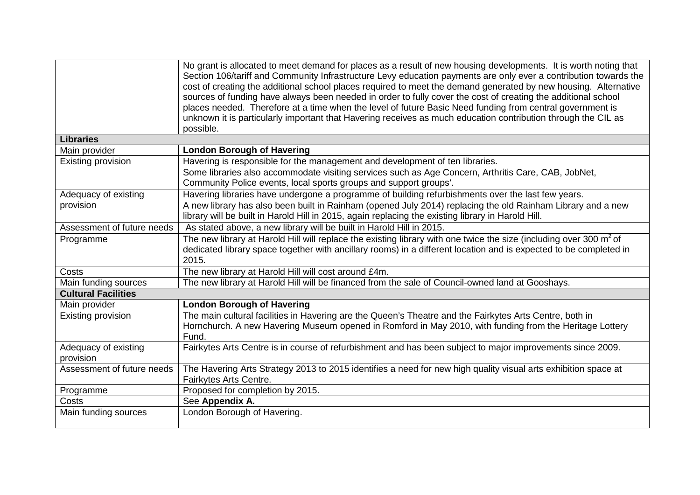|                                   | No grant is allocated to meet demand for places as a result of new housing developments. It is worth noting that<br>Section 106/tariff and Community Infrastructure Levy education payments are only ever a contribution towards the<br>cost of creating the additional school places required to meet the demand generated by new housing. Alternative<br>sources of funding have always been needed in order to fully cover the cost of creating the additional school<br>places needed. Therefore at a time when the level of future Basic Need funding from central government is<br>unknown it is particularly important that Havering receives as much education contribution through the CIL as<br>possible. |
|-----------------------------------|---------------------------------------------------------------------------------------------------------------------------------------------------------------------------------------------------------------------------------------------------------------------------------------------------------------------------------------------------------------------------------------------------------------------------------------------------------------------------------------------------------------------------------------------------------------------------------------------------------------------------------------------------------------------------------------------------------------------|
| <b>Libraries</b>                  |                                                                                                                                                                                                                                                                                                                                                                                                                                                                                                                                                                                                                                                                                                                     |
| Main provider                     | <b>London Borough of Havering</b>                                                                                                                                                                                                                                                                                                                                                                                                                                                                                                                                                                                                                                                                                   |
| Existing provision                | Havering is responsible for the management and development of ten libraries.                                                                                                                                                                                                                                                                                                                                                                                                                                                                                                                                                                                                                                        |
|                                   | Some libraries also accommodate visiting services such as Age Concern, Arthritis Care, CAB, JobNet,                                                                                                                                                                                                                                                                                                                                                                                                                                                                                                                                                                                                                 |
|                                   | Community Police events, local sports groups and support groups'.                                                                                                                                                                                                                                                                                                                                                                                                                                                                                                                                                                                                                                                   |
| Adequacy of existing              | Havering libraries have undergone a programme of building refurbishments over the last few years.                                                                                                                                                                                                                                                                                                                                                                                                                                                                                                                                                                                                                   |
| provision                         | A new library has also been built in Rainham (opened July 2014) replacing the old Rainham Library and a new                                                                                                                                                                                                                                                                                                                                                                                                                                                                                                                                                                                                         |
|                                   | library will be built in Harold Hill in 2015, again replacing the existing library in Harold Hill.                                                                                                                                                                                                                                                                                                                                                                                                                                                                                                                                                                                                                  |
| Assessment of future needs        | As stated above, a new library will be built in Harold Hill in 2015.                                                                                                                                                                                                                                                                                                                                                                                                                                                                                                                                                                                                                                                |
| Programme                         | The new library at Harold Hill will replace the existing library with one twice the size (including over 300 $m^2$ of<br>dedicated library space together with ancillary rooms) in a different location and is expected to be completed in<br>2015.                                                                                                                                                                                                                                                                                                                                                                                                                                                                 |
| Costs                             | The new library at Harold Hill will cost around £4m.                                                                                                                                                                                                                                                                                                                                                                                                                                                                                                                                                                                                                                                                |
| Main funding sources              | The new library at Harold Hill will be financed from the sale of Council-owned land at Gooshays.                                                                                                                                                                                                                                                                                                                                                                                                                                                                                                                                                                                                                    |
| <b>Cultural Facilities</b>        |                                                                                                                                                                                                                                                                                                                                                                                                                                                                                                                                                                                                                                                                                                                     |
| Main provider                     | <b>London Borough of Havering</b>                                                                                                                                                                                                                                                                                                                                                                                                                                                                                                                                                                                                                                                                                   |
| Existing provision                | The main cultural facilities in Havering are the Queen's Theatre and the Fairkytes Arts Centre, both in<br>Hornchurch. A new Havering Museum opened in Romford in May 2010, with funding from the Heritage Lottery<br>Fund.                                                                                                                                                                                                                                                                                                                                                                                                                                                                                         |
| Adequacy of existing<br>provision | Fairkytes Arts Centre is in course of refurbishment and has been subject to major improvements since 2009.                                                                                                                                                                                                                                                                                                                                                                                                                                                                                                                                                                                                          |
| Assessment of future needs        | The Havering Arts Strategy 2013 to 2015 identifies a need for new high quality visual arts exhibition space at<br>Fairkytes Arts Centre.                                                                                                                                                                                                                                                                                                                                                                                                                                                                                                                                                                            |
| Programme                         | Proposed for completion by 2015.                                                                                                                                                                                                                                                                                                                                                                                                                                                                                                                                                                                                                                                                                    |
| Costs                             | See Appendix A.                                                                                                                                                                                                                                                                                                                                                                                                                                                                                                                                                                                                                                                                                                     |
| Main funding sources              | London Borough of Havering.                                                                                                                                                                                                                                                                                                                                                                                                                                                                                                                                                                                                                                                                                         |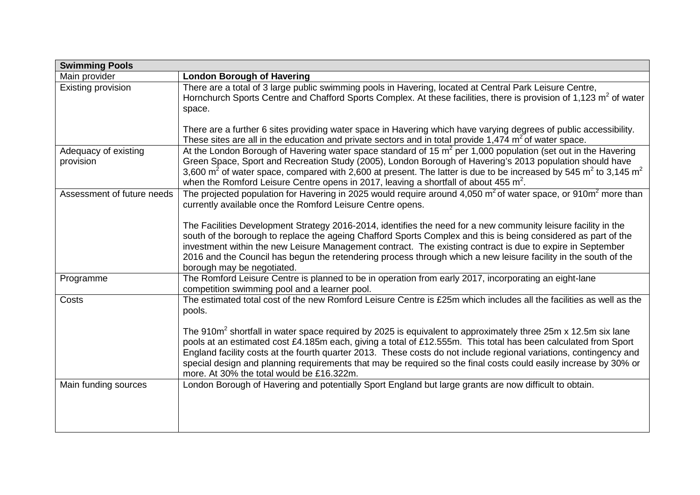| <b>Swimming Pools</b>             |                                                                                                                                                                                                                                                                                                                                                                                                                                                                                                                                    |
|-----------------------------------|------------------------------------------------------------------------------------------------------------------------------------------------------------------------------------------------------------------------------------------------------------------------------------------------------------------------------------------------------------------------------------------------------------------------------------------------------------------------------------------------------------------------------------|
| Main provider                     | <b>London Borough of Havering</b>                                                                                                                                                                                                                                                                                                                                                                                                                                                                                                  |
| Existing provision                | There are a total of 3 large public swimming pools in Havering, located at Central Park Leisure Centre,<br>Hornchurch Sports Centre and Chafford Sports Complex. At these facilities, there is provision of 1,123 m <sup>2</sup> of water<br>space.                                                                                                                                                                                                                                                                                |
|                                   | There are a further 6 sites providing water space in Havering which have varying degrees of public accessibility.<br>These sites are all in the education and private sectors and in total provide 1,474 $m2$ of water space.                                                                                                                                                                                                                                                                                                      |
| Adequacy of existing<br>provision | At the London Borough of Havering water space standard of 15 $m^2$ per 1,000 population (set out in the Havering<br>Green Space, Sport and Recreation Study (2005), London Borough of Havering's 2013 population should have<br>3,600 $m^2$ of water space, compared with 2,600 at present. The latter is due to be increased by 545 $m^2$ to 3,145 $m^2$<br>when the Romford Leisure Centre opens in 2017, leaving a shortfall of about 455 $m^2$ .                                                                               |
| Assessment of future needs        | The projected population for Havering in 2025 would require around 4,050 $m2$ of water space, or 910 $m2$ more than<br>currently available once the Romford Leisure Centre opens.                                                                                                                                                                                                                                                                                                                                                  |
|                                   | The Facilities Development Strategy 2016-2014, identifies the need for a new community leisure facility in the<br>south of the borough to replace the ageing Chafford Sports Complex and this is being considered as part of the<br>investment within the new Leisure Management contract. The existing contract is due to expire in September<br>2016 and the Council has begun the retendering process through which a new leisure facility in the south of the<br>borough may be negotiated.                                    |
| Programme                         | The Romford Leisure Centre is planned to be in operation from early 2017, incorporating an eight-lane<br>competition swimming pool and a learner pool.                                                                                                                                                                                                                                                                                                                                                                             |
| Costs                             | The estimated total cost of the new Romford Leisure Centre is £25m which includes all the facilities as well as the<br>pools.                                                                                                                                                                                                                                                                                                                                                                                                      |
|                                   | The 910m <sup>2</sup> shortfall in water space required by 2025 is equivalent to approximately three 25m x 12.5m six lane<br>pools at an estimated cost £4.185m each, giving a total of £12.555m. This total has been calculated from Sport<br>England facility costs at the fourth quarter 2013. These costs do not include regional variations, contingency and<br>special design and planning requirements that may be required so the final costs could easily increase by 30% or<br>more. At 30% the total would be £16.322m. |
| Main funding sources              | London Borough of Havering and potentially Sport England but large grants are now difficult to obtain.                                                                                                                                                                                                                                                                                                                                                                                                                             |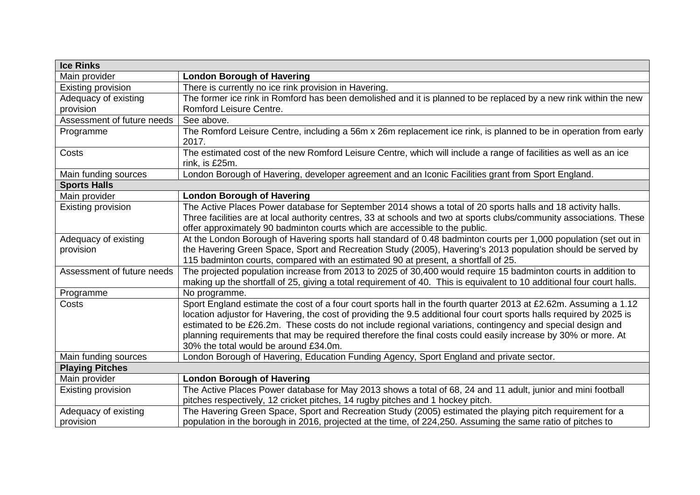| <b>Ice Rinks</b>           |                                                                                                                                                                                                   |  |  |  |
|----------------------------|---------------------------------------------------------------------------------------------------------------------------------------------------------------------------------------------------|--|--|--|
| Main provider              | <b>London Borough of Havering</b>                                                                                                                                                                 |  |  |  |
| Existing provision         | There is currently no ice rink provision in Havering.                                                                                                                                             |  |  |  |
| Adequacy of existing       | The former ice rink in Romford has been demolished and it is planned to be replaced by a new rink within the new                                                                                  |  |  |  |
| provision                  | Romford Leisure Centre.                                                                                                                                                                           |  |  |  |
| Assessment of future needs | See above.                                                                                                                                                                                        |  |  |  |
| Programme                  | The Romford Leisure Centre, including a 56m x 26m replacement ice rink, is planned to be in operation from early<br>2017.                                                                         |  |  |  |
|                            |                                                                                                                                                                                                   |  |  |  |
| Costs                      | The estimated cost of the new Romford Leisure Centre, which will include a range of facilities as well as an ice<br>rink, is £25m.                                                                |  |  |  |
| Main funding sources       | London Borough of Havering, developer agreement and an Iconic Facilities grant from Sport England.                                                                                                |  |  |  |
| <b>Sports Halls</b>        |                                                                                                                                                                                                   |  |  |  |
| Main provider              | <b>London Borough of Havering</b>                                                                                                                                                                 |  |  |  |
| Existing provision         | The Active Places Power database for September 2014 shows a total of 20 sports halls and 18 activity halls.                                                                                       |  |  |  |
|                            | Three facilities are at local authority centres, 33 at schools and two at sports clubs/community associations. These                                                                              |  |  |  |
|                            | offer approximately 90 badminton courts which are accessible to the public.                                                                                                                       |  |  |  |
| Adequacy of existing       | At the London Borough of Havering sports hall standard of 0.48 badminton courts per 1,000 population (set out in                                                                                  |  |  |  |
| provision                  | the Havering Green Space, Sport and Recreation Study (2005), Havering's 2013 population should be served by<br>115 badminton courts, compared with an estimated 90 at present, a shortfall of 25. |  |  |  |
| Assessment of future needs | The projected population increase from 2013 to 2025 of 30,400 would require 15 badminton courts in addition to                                                                                    |  |  |  |
|                            | making up the shortfall of 25, giving a total requirement of 40. This is equivalent to 10 additional four court halls.                                                                            |  |  |  |
| Programme                  | No programme.                                                                                                                                                                                     |  |  |  |
| Costs                      | Sport England estimate the cost of a four court sports hall in the fourth quarter 2013 at £2.62m. Assuming a 1.12                                                                                 |  |  |  |
|                            | location adjustor for Havering, the cost of providing the 9.5 additional four court sports halls required by 2025 is                                                                              |  |  |  |
|                            | estimated to be £26.2m. These costs do not include regional variations, contingency and special design and                                                                                        |  |  |  |
|                            | planning requirements that may be required therefore the final costs could easily increase by 30% or more. At                                                                                     |  |  |  |
|                            | 30% the total would be around £34.0m.                                                                                                                                                             |  |  |  |
| Main funding sources       | London Borough of Havering, Education Funding Agency, Sport England and private sector.                                                                                                           |  |  |  |
| <b>Playing Pitches</b>     |                                                                                                                                                                                                   |  |  |  |
| Main provider              | <b>London Borough of Havering</b>                                                                                                                                                                 |  |  |  |
| Existing provision         | The Active Places Power database for May 2013 shows a total of 68, 24 and 11 adult, junior and mini football                                                                                      |  |  |  |
|                            | pitches respectively, 12 cricket pitches, 14 rugby pitches and 1 hockey pitch.                                                                                                                    |  |  |  |
| Adequacy of existing       | The Havering Green Space, Sport and Recreation Study (2005) estimated the playing pitch requirement for a                                                                                         |  |  |  |
| provision                  | population in the borough in 2016, projected at the time, of 224,250. Assuming the same ratio of pitches to                                                                                       |  |  |  |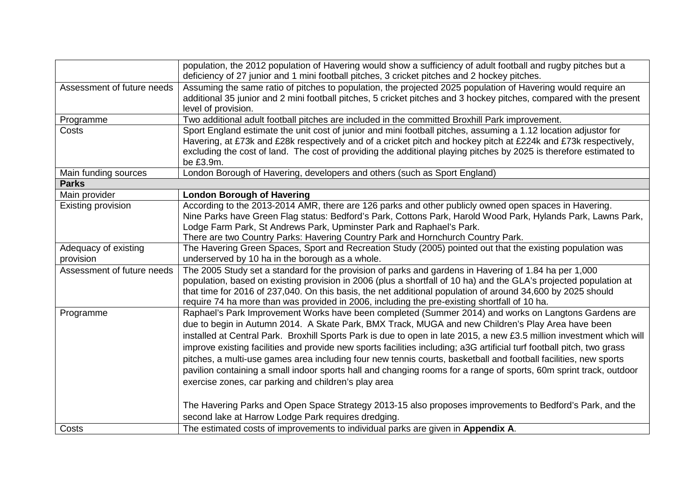|                                   | population, the 2012 population of Havering would show a sufficiency of adult football and rugby pitches but a<br>deficiency of 27 junior and 1 mini football pitches, 3 cricket pitches and 2 hockey pitches.                                                                                                                                                                                                                                                                                                                                                                                                                                                                                                                                                                                                                                                                                                                    |
|-----------------------------------|-----------------------------------------------------------------------------------------------------------------------------------------------------------------------------------------------------------------------------------------------------------------------------------------------------------------------------------------------------------------------------------------------------------------------------------------------------------------------------------------------------------------------------------------------------------------------------------------------------------------------------------------------------------------------------------------------------------------------------------------------------------------------------------------------------------------------------------------------------------------------------------------------------------------------------------|
| Assessment of future needs        | Assuming the same ratio of pitches to population, the projected 2025 population of Havering would require an<br>additional 35 junior and 2 mini football pitches, 5 cricket pitches and 3 hockey pitches, compared with the present<br>level of provision.                                                                                                                                                                                                                                                                                                                                                                                                                                                                                                                                                                                                                                                                        |
| Programme                         | Two additional adult football pitches are included in the committed Broxhill Park improvement.                                                                                                                                                                                                                                                                                                                                                                                                                                                                                                                                                                                                                                                                                                                                                                                                                                    |
| Costs                             | Sport England estimate the unit cost of junior and mini football pitches, assuming a 1.12 location adjustor for<br>Havering, at £73k and £28k respectively and of a cricket pitch and hockey pitch at £224k and £73k respectively,<br>excluding the cost of land. The cost of providing the additional playing pitches by 2025 is therefore estimated to<br>be £3.9m.                                                                                                                                                                                                                                                                                                                                                                                                                                                                                                                                                             |
| Main funding sources              | London Borough of Havering, developers and others (such as Sport England)                                                                                                                                                                                                                                                                                                                                                                                                                                                                                                                                                                                                                                                                                                                                                                                                                                                         |
| <b>Parks</b>                      |                                                                                                                                                                                                                                                                                                                                                                                                                                                                                                                                                                                                                                                                                                                                                                                                                                                                                                                                   |
| Main provider                     | <b>London Borough of Havering</b>                                                                                                                                                                                                                                                                                                                                                                                                                                                                                                                                                                                                                                                                                                                                                                                                                                                                                                 |
| Existing provision                | According to the 2013-2014 AMR, there are 126 parks and other publicly owned open spaces in Havering.<br>Nine Parks have Green Flag status: Bedford's Park, Cottons Park, Harold Wood Park, Hylands Park, Lawns Park,<br>Lodge Farm Park, St Andrews Park, Upminster Park and Raphael's Park.<br>There are two Country Parks: Havering Country Park and Hornchurch Country Park.                                                                                                                                                                                                                                                                                                                                                                                                                                                                                                                                                  |
| Adequacy of existing<br>provision | The Havering Green Spaces, Sport and Recreation Study (2005) pointed out that the existing population was<br>underserved by 10 ha in the borough as a whole.                                                                                                                                                                                                                                                                                                                                                                                                                                                                                                                                                                                                                                                                                                                                                                      |
| Assessment of future needs        | The 2005 Study set a standard for the provision of parks and gardens in Havering of 1.84 ha per 1,000<br>population, based on existing provision in 2006 (plus a shortfall of 10 ha) and the GLA's projected population at<br>that time for 2016 of 237,040. On this basis, the net additional population of around 34,600 by 2025 should<br>require 74 ha more than was provided in 2006, including the pre-existing shortfall of 10 ha.                                                                                                                                                                                                                                                                                                                                                                                                                                                                                         |
| Programme                         | Raphael's Park Improvement Works have been completed (Summer 2014) and works on Langtons Gardens are<br>due to begin in Autumn 2014. A Skate Park, BMX Track, MUGA and new Children's Play Area have been<br>installed at Central Park. Broxhill Sports Park is due to open in late 2015, a new £3.5 million investment which will<br>improve existing facilities and provide new sports facilities including; a3G artificial turf football pitch, two grass<br>pitches, a multi-use games area including four new tennis courts, basketball and football facilities, new sports<br>pavilion containing a small indoor sports hall and changing rooms for a range of sports, 60m sprint track, outdoor<br>exercise zones, car parking and children's play area<br>The Havering Parks and Open Space Strategy 2013-15 also proposes improvements to Bedford's Park, and the<br>second lake at Harrow Lodge Park requires dredging. |
| Costs                             | The estimated costs of improvements to individual parks are given in Appendix A.                                                                                                                                                                                                                                                                                                                                                                                                                                                                                                                                                                                                                                                                                                                                                                                                                                                  |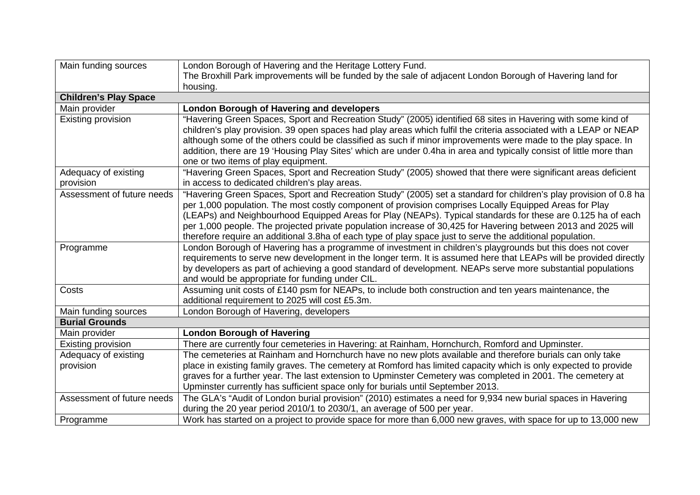| Main funding sources         | London Borough of Havering and the Heritage Lottery Fund.                                                           |
|------------------------------|---------------------------------------------------------------------------------------------------------------------|
|                              | The Broxhill Park improvements will be funded by the sale of adjacent London Borough of Havering land for           |
|                              | housing.                                                                                                            |
| <b>Children's Play Space</b> |                                                                                                                     |
| Main provider                | <b>London Borough of Havering and developers</b>                                                                    |
| Existing provision           | "Havering Green Spaces, Sport and Recreation Study" (2005) identified 68 sites in Havering with some kind of        |
|                              | children's play provision. 39 open spaces had play areas which fulfil the criteria associated with a LEAP or NEAP   |
|                              | although some of the others could be classified as such if minor improvements were made to the play space. In       |
|                              | addition, there are 19 'Housing Play Sites' which are under 0.4ha in area and typically consist of little more than |
|                              | one or two items of play equipment.                                                                                 |
| Adequacy of existing         | "Havering Green Spaces, Sport and Recreation Study" (2005) showed that there were significant areas deficient       |
| provision                    | in access to dedicated children's play areas.                                                                       |
| Assessment of future needs   | "Havering Green Spaces, Sport and Recreation Study" (2005) set a standard for children's play provision of 0.8 ha   |
|                              | per 1,000 population. The most costly component of provision comprises Locally Equipped Areas for Play              |
|                              | (LEAPs) and Neighbourhood Equipped Areas for Play (NEAPs). Typical standards for these are 0.125 ha of each         |
|                              | per 1,000 people. The projected private population increase of 30,425 for Havering between 2013 and 2025 will       |
|                              | therefore require an additional 3.8ha of each type of play space just to serve the additional population.           |
| Programme                    | London Borough of Havering has a programme of investment in children's playgrounds but this does not cover          |
|                              | requirements to serve new development in the longer term. It is assumed here that LEAPs will be provided directly   |
|                              | by developers as part of achieving a good standard of development. NEAPs serve more substantial populations         |
|                              | and would be appropriate for funding under CIL.                                                                     |
| Costs                        | Assuming unit costs of £140 psm for NEAPs, to include both construction and ten years maintenance, the              |
|                              | additional requirement to 2025 will cost £5.3m.                                                                     |
| Main funding sources         | London Borough of Havering, developers                                                                              |
| <b>Burial Grounds</b>        |                                                                                                                     |
| Main provider                | <b>London Borough of Havering</b>                                                                                   |
| Existing provision           | There are currently four cemeteries in Havering: at Rainham, Hornchurch, Romford and Upminster.                     |
| Adequacy of existing         | The cemeteries at Rainham and Hornchurch have no new plots available and therefore burials can only take            |
| provision                    | place in existing family graves. The cemetery at Romford has limited capacity which is only expected to provide     |
|                              | graves for a further year. The last extension to Upminster Cemetery was completed in 2001. The cemetery at          |
|                              | Upminster currently has sufficient space only for burials until September 2013.                                     |
| Assessment of future needs   | The GLA's "Audit of London burial provision" (2010) estimates a need for 9,934 new burial spaces in Havering        |
|                              | during the 20 year period 2010/1 to 2030/1, an average of 500 per year.                                             |
| Programme                    | Work has started on a project to provide space for more than 6,000 new graves, with space for up to 13,000 new      |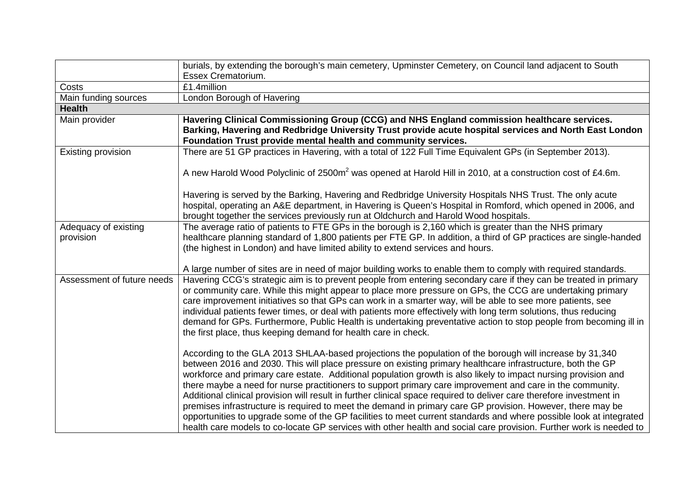|                                   | burials, by extending the borough's main cemetery, Upminster Cemetery, on Council land adjacent to South<br>Essex Crematorium.                                                                                                                                                                                                                                                                                                                                                                                                                                                                                                                                                                                                                                                                                                                                                                                                         |
|-----------------------------------|----------------------------------------------------------------------------------------------------------------------------------------------------------------------------------------------------------------------------------------------------------------------------------------------------------------------------------------------------------------------------------------------------------------------------------------------------------------------------------------------------------------------------------------------------------------------------------------------------------------------------------------------------------------------------------------------------------------------------------------------------------------------------------------------------------------------------------------------------------------------------------------------------------------------------------------|
| Costs                             | £1.4million                                                                                                                                                                                                                                                                                                                                                                                                                                                                                                                                                                                                                                                                                                                                                                                                                                                                                                                            |
| Main funding sources              | London Borough of Havering                                                                                                                                                                                                                                                                                                                                                                                                                                                                                                                                                                                                                                                                                                                                                                                                                                                                                                             |
| <b>Health</b>                     |                                                                                                                                                                                                                                                                                                                                                                                                                                                                                                                                                                                                                                                                                                                                                                                                                                                                                                                                        |
| Main provider                     | Havering Clinical Commissioning Group (CCG) and NHS England commission healthcare services.<br>Barking, Havering and Redbridge University Trust provide acute hospital services and North East London<br>Foundation Trust provide mental health and community services.                                                                                                                                                                                                                                                                                                                                                                                                                                                                                                                                                                                                                                                                |
| Existing provision                | There are 51 GP practices in Havering, with a total of 122 Full Time Equivalent GPs (in September 2013).                                                                                                                                                                                                                                                                                                                                                                                                                                                                                                                                                                                                                                                                                                                                                                                                                               |
|                                   | A new Harold Wood Polyclinic of 2500m <sup>2</sup> was opened at Harold Hill in 2010, at a construction cost of £4.6m.                                                                                                                                                                                                                                                                                                                                                                                                                                                                                                                                                                                                                                                                                                                                                                                                                 |
|                                   | Havering is served by the Barking, Havering and Redbridge University Hospitals NHS Trust. The only acute<br>hospital, operating an A&E department, in Havering is Queen's Hospital in Romford, which opened in 2006, and<br>brought together the services previously run at Oldchurch and Harold Wood hospitals.                                                                                                                                                                                                                                                                                                                                                                                                                                                                                                                                                                                                                       |
| Adequacy of existing<br>provision | The average ratio of patients to FTE GPs in the borough is 2,160 which is greater than the NHS primary<br>healthcare planning standard of 1,800 patients per FTE GP. In addition, a third of GP practices are single-handed<br>(the highest in London) and have limited ability to extend services and hours.                                                                                                                                                                                                                                                                                                                                                                                                                                                                                                                                                                                                                          |
|                                   | A large number of sites are in need of major building works to enable them to comply with required standards.                                                                                                                                                                                                                                                                                                                                                                                                                                                                                                                                                                                                                                                                                                                                                                                                                          |
| Assessment of future needs        | Havering CCG's strategic aim is to prevent people from entering secondary care if they can be treated in primary<br>or community care. While this might appear to place more pressure on GPs, the CCG are undertaking primary<br>care improvement initiatives so that GPs can work in a smarter way, will be able to see more patients, see<br>individual patients fewer times, or deal with patients more effectively with long term solutions, thus reducing<br>demand for GPs. Furthermore, Public Health is undertaking preventative action to stop people from becoming ill in<br>the first place, thus keeping demand for health care in check.                                                                                                                                                                                                                                                                                  |
|                                   | According to the GLA 2013 SHLAA-based projections the population of the borough will increase by 31,340<br>between 2016 and 2030. This will place pressure on existing primary healthcare infrastructure, both the GP<br>workforce and primary care estate. Additional population growth is also likely to impact nursing provision and<br>there maybe a need for nurse practitioners to support primary care improvement and care in the community.<br>Additional clinical provision will result in further clinical space required to deliver care therefore investment in<br>premises infrastructure is required to meet the demand in primary care GP provision. However, there may be<br>opportunities to upgrade some of the GP facilities to meet current standards and where possible look at integrated<br>health care models to co-locate GP services with other health and social care provision. Further work is needed to |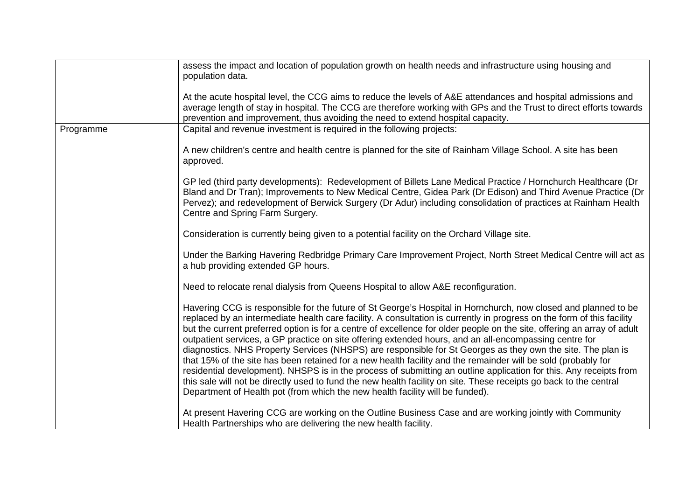|           | assess the impact and location of population growth on health needs and infrastructure using housing and<br>population data.                                                                                                                                                                                                                                                                                                                                                                                                                                                                                                                                                                                                                                                                                                                                                                                                                                                                                                               |
|-----------|--------------------------------------------------------------------------------------------------------------------------------------------------------------------------------------------------------------------------------------------------------------------------------------------------------------------------------------------------------------------------------------------------------------------------------------------------------------------------------------------------------------------------------------------------------------------------------------------------------------------------------------------------------------------------------------------------------------------------------------------------------------------------------------------------------------------------------------------------------------------------------------------------------------------------------------------------------------------------------------------------------------------------------------------|
|           | At the acute hospital level, the CCG aims to reduce the levels of A&E attendances and hospital admissions and<br>average length of stay in hospital. The CCG are therefore working with GPs and the Trust to direct efforts towards<br>prevention and improvement, thus avoiding the need to extend hospital capacity.                                                                                                                                                                                                                                                                                                                                                                                                                                                                                                                                                                                                                                                                                                                     |
| Programme | Capital and revenue investment is required in the following projects:                                                                                                                                                                                                                                                                                                                                                                                                                                                                                                                                                                                                                                                                                                                                                                                                                                                                                                                                                                      |
|           | A new children's centre and health centre is planned for the site of Rainham Village School. A site has been<br>approved.                                                                                                                                                                                                                                                                                                                                                                                                                                                                                                                                                                                                                                                                                                                                                                                                                                                                                                                  |
|           | GP led (third party developments): Redevelopment of Billets Lane Medical Practice / Hornchurch Healthcare (Dr<br>Bland and Dr Tran); Improvements to New Medical Centre, Gidea Park (Dr Edison) and Third Avenue Practice (Dr<br>Pervez); and redevelopment of Berwick Surgery (Dr Adur) including consolidation of practices at Rainham Health<br>Centre and Spring Farm Surgery.                                                                                                                                                                                                                                                                                                                                                                                                                                                                                                                                                                                                                                                         |
|           | Consideration is currently being given to a potential facility on the Orchard Village site.                                                                                                                                                                                                                                                                                                                                                                                                                                                                                                                                                                                                                                                                                                                                                                                                                                                                                                                                                |
|           | Under the Barking Havering Redbridge Primary Care Improvement Project, North Street Medical Centre will act as<br>a hub providing extended GP hours.                                                                                                                                                                                                                                                                                                                                                                                                                                                                                                                                                                                                                                                                                                                                                                                                                                                                                       |
|           | Need to relocate renal dialysis from Queens Hospital to allow A&E reconfiguration.                                                                                                                                                                                                                                                                                                                                                                                                                                                                                                                                                                                                                                                                                                                                                                                                                                                                                                                                                         |
|           | Havering CCG is responsible for the future of St George's Hospital in Hornchurch, now closed and planned to be<br>replaced by an intermediate health care facility. A consultation is currently in progress on the form of this facility<br>but the current preferred option is for a centre of excellence for older people on the site, offering an array of adult<br>outpatient services, a GP practice on site offering extended hours, and an all-encompassing centre for<br>diagnostics. NHS Property Services (NHSPS) are responsible for St Georges as they own the site. The plan is<br>that 15% of the site has been retained for a new health facility and the remainder will be sold (probably for<br>residential development). NHSPS is in the process of submitting an outline application for this. Any receipts from<br>this sale will not be directly used to fund the new health facility on site. These receipts go back to the central<br>Department of Health pot (from which the new health facility will be funded). |
|           | At present Havering CCG are working on the Outline Business Case and are working jointly with Community<br>Health Partnerships who are delivering the new health facility.                                                                                                                                                                                                                                                                                                                                                                                                                                                                                                                                                                                                                                                                                                                                                                                                                                                                 |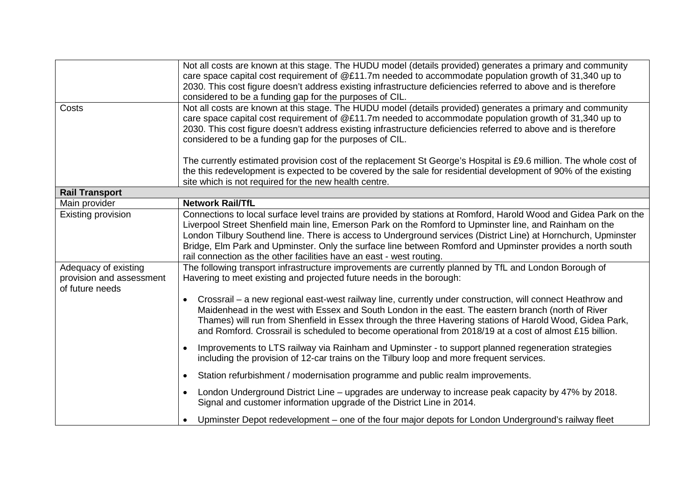|                                                                     | Not all costs are known at this stage. The HUDU model (details provided) generates a primary and community<br>care space capital cost requirement of $@E11.7m$ needed to accommodate population growth of 31,340 up to<br>2030. This cost figure doesn't address existing infrastructure deficiencies referred to above and is therefore<br>considered to be a funding gap for the purposes of CIL.                                                                                                                                 |
|---------------------------------------------------------------------|-------------------------------------------------------------------------------------------------------------------------------------------------------------------------------------------------------------------------------------------------------------------------------------------------------------------------------------------------------------------------------------------------------------------------------------------------------------------------------------------------------------------------------------|
| Costs                                                               | Not all costs are known at this stage. The HUDU model (details provided) generates a primary and community<br>care space capital cost requirement of @£11.7m needed to accommodate population growth of 31,340 up to<br>2030. This cost figure doesn't address existing infrastructure deficiencies referred to above and is therefore<br>considered to be a funding gap for the purposes of CIL.                                                                                                                                   |
|                                                                     | The currently estimated provision cost of the replacement St George's Hospital is £9.6 million. The whole cost of<br>the this redevelopment is expected to be covered by the sale for residential development of 90% of the existing<br>site which is not required for the new health centre.                                                                                                                                                                                                                                       |
| <b>Rail Transport</b>                                               |                                                                                                                                                                                                                                                                                                                                                                                                                                                                                                                                     |
| Main provider                                                       | <b>Network Rail/TfL</b>                                                                                                                                                                                                                                                                                                                                                                                                                                                                                                             |
| Existing provision                                                  | Connections to local surface level trains are provided by stations at Romford, Harold Wood and Gidea Park on the<br>Liverpool Street Shenfield main line, Emerson Park on the Romford to Upminster line, and Rainham on the<br>London Tilbury Southend line. There is access to Underground services (District Line) at Hornchurch, Upminster<br>Bridge, Elm Park and Upminster. Only the surface line between Romford and Upminster provides a north south<br>rail connection as the other facilities have an east - west routing. |
| Adequacy of existing<br>provision and assessment<br>of future needs | The following transport infrastructure improvements are currently planned by TfL and London Borough of<br>Havering to meet existing and projected future needs in the borough:<br>Crossrail – a new regional east-west railway line, currently under construction, will connect Heathrow and<br>Maidenhead in the west with Essex and South London in the east. The eastern branch (north of River                                                                                                                                  |
|                                                                     | Thames) will run from Shenfield in Essex through the three Havering stations of Harold Wood, Gidea Park,<br>and Romford. Crossrail is scheduled to become operational from 2018/19 at a cost of almost £15 billion.                                                                                                                                                                                                                                                                                                                 |
|                                                                     | Improvements to LTS railway via Rainham and Upminster - to support planned regeneration strategies<br>including the provision of 12-car trains on the Tilbury loop and more frequent services.                                                                                                                                                                                                                                                                                                                                      |
|                                                                     | Station refurbishment / modernisation programme and public realm improvements.<br>$\bullet$                                                                                                                                                                                                                                                                                                                                                                                                                                         |
|                                                                     | London Underground District Line – upgrades are underway to increase peak capacity by 47% by 2018.<br>$\bullet$<br>Signal and customer information upgrade of the District Line in 2014.                                                                                                                                                                                                                                                                                                                                            |
|                                                                     | Upminster Depot redevelopment – one of the four major depots for London Underground's railway fleet                                                                                                                                                                                                                                                                                                                                                                                                                                 |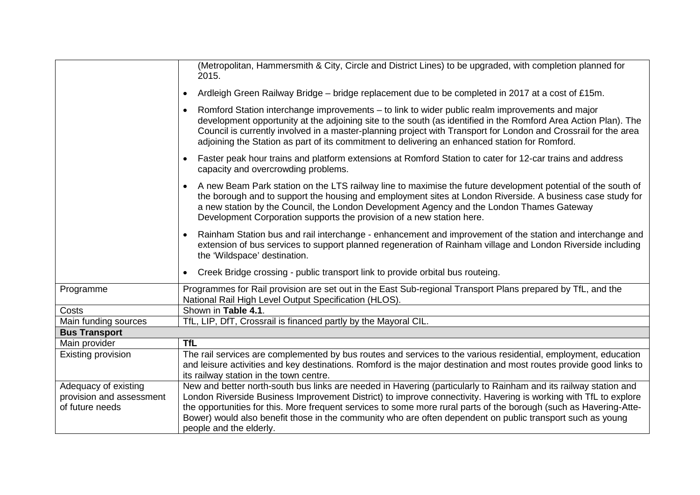|                                                  | (Metropolitan, Hammersmith & City, Circle and District Lines) to be upgraded, with completion planned for<br>2015.                                                                                                                                                                                                                                                                                                                                   |
|--------------------------------------------------|------------------------------------------------------------------------------------------------------------------------------------------------------------------------------------------------------------------------------------------------------------------------------------------------------------------------------------------------------------------------------------------------------------------------------------------------------|
|                                                  | Ardleigh Green Railway Bridge - bridge replacement due to be completed in 2017 at a cost of £15m.                                                                                                                                                                                                                                                                                                                                                    |
|                                                  | Romford Station interchange improvements – to link to wider public realm improvements and major<br>$\bullet$<br>development opportunity at the adjoining site to the south (as identified in the Romford Area Action Plan). The<br>Council is currently involved in a master-planning project with Transport for London and Crossrail for the area<br>adjoining the Station as part of its commitment to delivering an enhanced station for Romford. |
|                                                  | Faster peak hour trains and platform extensions at Romford Station to cater for 12-car trains and address<br>$\bullet$<br>capacity and overcrowding problems.                                                                                                                                                                                                                                                                                        |
|                                                  | A new Beam Park station on the LTS railway line to maximise the future development potential of the south of<br>$\bullet$<br>the borough and to support the housing and employment sites at London Riverside. A business case study for<br>a new station by the Council, the London Development Agency and the London Thames Gateway<br>Development Corporation supports the provision of a new station here.                                        |
|                                                  | Rainham Station bus and rail interchange - enhancement and improvement of the station and interchange and<br>$\bullet$<br>extension of bus services to support planned regeneration of Rainham village and London Riverside including<br>the 'Wildspace' destination.                                                                                                                                                                                |
|                                                  | Creek Bridge crossing - public transport link to provide orbital bus routeing.<br>٠                                                                                                                                                                                                                                                                                                                                                                  |
| Programme                                        | Programmes for Rail provision are set out in the East Sub-regional Transport Plans prepared by TfL, and the<br>National Rail High Level Output Specification (HLOS).                                                                                                                                                                                                                                                                                 |
| Costs                                            | Shown in Table 4.1.                                                                                                                                                                                                                                                                                                                                                                                                                                  |
| Main funding sources                             | TfL, LIP, DfT, Crossrail is financed partly by the Mayoral CIL.                                                                                                                                                                                                                                                                                                                                                                                      |
| <b>Bus Transport</b>                             |                                                                                                                                                                                                                                                                                                                                                                                                                                                      |
| Main provider                                    | <b>TfL</b>                                                                                                                                                                                                                                                                                                                                                                                                                                           |
| <b>Existing provision</b>                        | The rail services are complemented by bus routes and services to the various residential, employment, education                                                                                                                                                                                                                                                                                                                                      |
|                                                  | and leisure activities and key destinations. Romford is the major destination and most routes provide good links to                                                                                                                                                                                                                                                                                                                                  |
|                                                  | its railway station in the town centre.                                                                                                                                                                                                                                                                                                                                                                                                              |
| Adequacy of existing<br>provision and assessment | New and better north-south bus links are needed in Havering (particularly to Rainham and its railway station and<br>London Riverside Business Improvement District) to improve connectivity. Havering is working with TfL to explore                                                                                                                                                                                                                 |
| of future needs                                  | the opportunities for this. More frequent services to some more rural parts of the borough (such as Havering-Atte-                                                                                                                                                                                                                                                                                                                                   |
|                                                  | Bower) would also benefit those in the community who are often dependent on public transport such as young                                                                                                                                                                                                                                                                                                                                           |
|                                                  | people and the elderly.                                                                                                                                                                                                                                                                                                                                                                                                                              |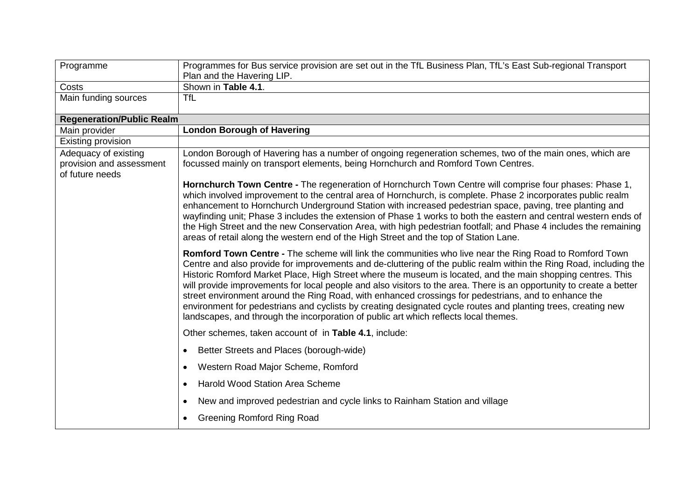| Programme                                                           | Programmes for Bus service provision are set out in the TfL Business Plan, TfL's East Sub-regional Transport                                                                                                                                                                                                                                                                                                                                                                                                                                                                                                                                                                                                                                                                         |
|---------------------------------------------------------------------|--------------------------------------------------------------------------------------------------------------------------------------------------------------------------------------------------------------------------------------------------------------------------------------------------------------------------------------------------------------------------------------------------------------------------------------------------------------------------------------------------------------------------------------------------------------------------------------------------------------------------------------------------------------------------------------------------------------------------------------------------------------------------------------|
|                                                                     | Plan and the Havering LIP.                                                                                                                                                                                                                                                                                                                                                                                                                                                                                                                                                                                                                                                                                                                                                           |
| Costs                                                               | Shown in Table 4.1.                                                                                                                                                                                                                                                                                                                                                                                                                                                                                                                                                                                                                                                                                                                                                                  |
| Main funding sources                                                | <b>TfL</b>                                                                                                                                                                                                                                                                                                                                                                                                                                                                                                                                                                                                                                                                                                                                                                           |
| <b>Regeneration/Public Realm</b>                                    |                                                                                                                                                                                                                                                                                                                                                                                                                                                                                                                                                                                                                                                                                                                                                                                      |
| Main provider                                                       | <b>London Borough of Havering</b>                                                                                                                                                                                                                                                                                                                                                                                                                                                                                                                                                                                                                                                                                                                                                    |
| Existing provision                                                  |                                                                                                                                                                                                                                                                                                                                                                                                                                                                                                                                                                                                                                                                                                                                                                                      |
| Adequacy of existing<br>provision and assessment<br>of future needs | London Borough of Havering has a number of ongoing regeneration schemes, two of the main ones, which are<br>focussed mainly on transport elements, being Hornchurch and Romford Town Centres.                                                                                                                                                                                                                                                                                                                                                                                                                                                                                                                                                                                        |
|                                                                     | Hornchurch Town Centre - The regeneration of Hornchurch Town Centre will comprise four phases: Phase 1,<br>which involved improvement to the central area of Hornchurch, is complete. Phase 2 incorporates public realm<br>enhancement to Hornchurch Underground Station with increased pedestrian space, paving, tree planting and<br>wayfinding unit; Phase 3 includes the extension of Phase 1 works to both the eastern and central western ends of<br>the High Street and the new Conservation Area, with high pedestrian footfall; and Phase 4 includes the remaining<br>areas of retail along the western end of the High Street and the top of Station Lane.                                                                                                                 |
|                                                                     | Romford Town Centre - The scheme will link the communities who live near the Ring Road to Romford Town<br>Centre and also provide for improvements and de-cluttering of the public realm within the Ring Road, including the<br>Historic Romford Market Place, High Street where the museum is located, and the main shopping centres. This<br>will provide improvements for local people and also visitors to the area. There is an opportunity to create a better<br>street environment around the Ring Road, with enhanced crossings for pedestrians, and to enhance the<br>environment for pedestrians and cyclists by creating designated cycle routes and planting trees, creating new<br>landscapes, and through the incorporation of public art which reflects local themes. |
|                                                                     | Other schemes, taken account of in Table 4.1, include:                                                                                                                                                                                                                                                                                                                                                                                                                                                                                                                                                                                                                                                                                                                               |
|                                                                     | Better Streets and Places (borough-wide)                                                                                                                                                                                                                                                                                                                                                                                                                                                                                                                                                                                                                                                                                                                                             |
|                                                                     | Western Road Major Scheme, Romford<br>$\bullet$                                                                                                                                                                                                                                                                                                                                                                                                                                                                                                                                                                                                                                                                                                                                      |
|                                                                     | <b>Harold Wood Station Area Scheme</b><br>$\bullet$                                                                                                                                                                                                                                                                                                                                                                                                                                                                                                                                                                                                                                                                                                                                  |
|                                                                     | New and improved pedestrian and cycle links to Rainham Station and village<br>$\bullet$                                                                                                                                                                                                                                                                                                                                                                                                                                                                                                                                                                                                                                                                                              |
|                                                                     | <b>Greening Romford Ring Road</b>                                                                                                                                                                                                                                                                                                                                                                                                                                                                                                                                                                                                                                                                                                                                                    |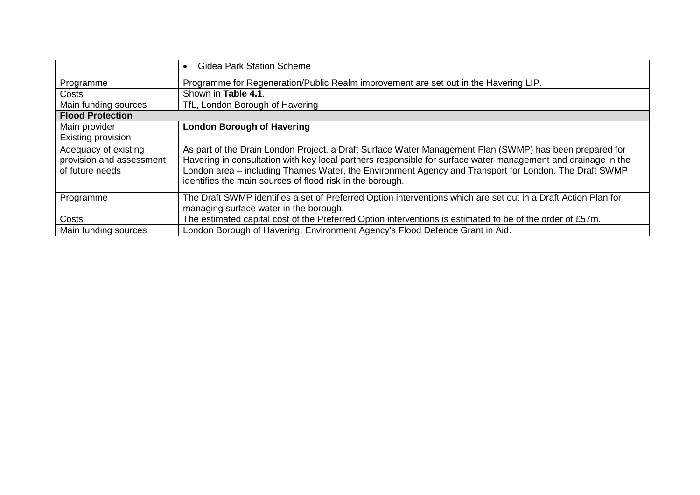|                                                                     | <b>Gidea Park Station Scheme</b><br>$\bullet$                                                                                                                                                                                                                                                                                                                                                  |
|---------------------------------------------------------------------|------------------------------------------------------------------------------------------------------------------------------------------------------------------------------------------------------------------------------------------------------------------------------------------------------------------------------------------------------------------------------------------------|
| Programme                                                           | Programme for Regeneration/Public Realm improvement are set out in the Havering LIP.                                                                                                                                                                                                                                                                                                           |
| Costs                                                               | Shown in Table 4.1.                                                                                                                                                                                                                                                                                                                                                                            |
| Main funding sources                                                | TfL, London Borough of Havering                                                                                                                                                                                                                                                                                                                                                                |
| <b>Flood Protection</b>                                             |                                                                                                                                                                                                                                                                                                                                                                                                |
| Main provider                                                       | <b>London Borough of Havering</b>                                                                                                                                                                                                                                                                                                                                                              |
| Existing provision                                                  |                                                                                                                                                                                                                                                                                                                                                                                                |
| Adequacy of existing<br>provision and assessment<br>of future needs | As part of the Drain London Project, a Draft Surface Water Management Plan (SWMP) has been prepared for<br>Havering in consultation with key local partners responsible for surface water management and drainage in the<br>London area – including Thames Water, the Environment Agency and Transport for London. The Draft SWMP<br>identifies the main sources of flood risk in the borough. |
| Programme                                                           | The Draft SWMP identifies a set of Preferred Option interventions which are set out in a Draft Action Plan for<br>managing surface water in the borough.                                                                                                                                                                                                                                       |
| Costs                                                               | The estimated capital cost of the Preferred Option interventions is estimated to be of the order of £57m.                                                                                                                                                                                                                                                                                      |
| Main funding sources                                                | London Borough of Havering, Environment Agency's Flood Defence Grant in Aid.                                                                                                                                                                                                                                                                                                                   |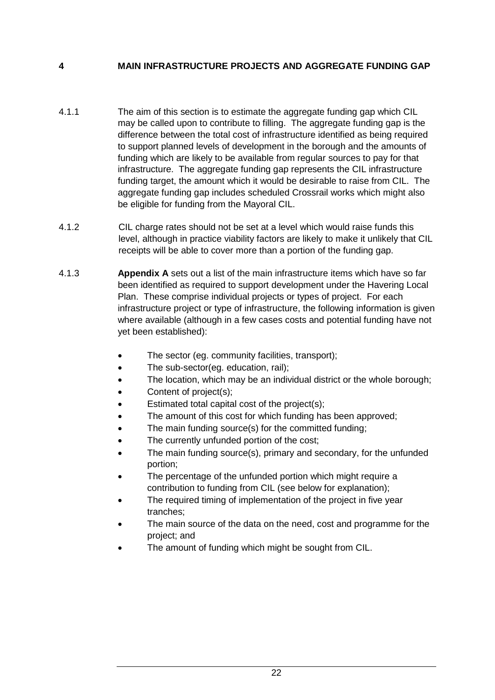# **4 MAIN INFRASTRUCTURE PROJECTS AND AGGREGATE FUNDING GAP**

- to support planned levels of development in the borough and the amounts of funding which are likely to be available from regular sources to pay for that funding target, the amount which it would be desirable to raise from CIL. The aggregate funding gap includes scheduled Crossrail works which might also 4.1.1 The aim of this section is to estimate the aggregate funding gap which CIL may be called upon to contribute to filling. The aggregate funding gap is the difference between the total cost of infrastructure identified as being required infrastructure. The aggregate funding gap represents the CIL infrastructure be eligible for funding from the Mayoral CIL.
- receipts will be able to cover more than a portion of the funding gap. 4.1.2 CIL charge rates should not be set at a level which would raise funds this level, although in practice viability factors are likely to make it unlikely that CIL
- Plan. These comprise individual projects or types of project. For each where available (although in a few cases costs and potential funding have not 4.1.3 **Appendix A** sets out a list of the main infrastructure items which have so far been identified as required to support development under the Havering Local infrastructure project or type of infrastructure, the following information is given yet been established):
	- The sector (eg. community facilities, transport);
	- The sub-sector(eg. education, rail);
	- The location, which may be an individual district or the whole borough;
	- Content of project(s);
	- Estimated total capital cost of the project(s);
	- The amount of this cost for which funding has been approved;
	- The main funding source(s) for the committed funding:
	- The currently unfunded portion of the cost;
	- The main funding source(s), primary and secondary, for the unfunded portion;
	- The percentage of the unfunded portion which might require a contribution to funding from CIL (see below for explanation);
	- The required timing of implementation of the project in five year tranches;
	- The main source of the data on the need, cost and programme for the project; and
	- The amount of funding which might be sought from CIL.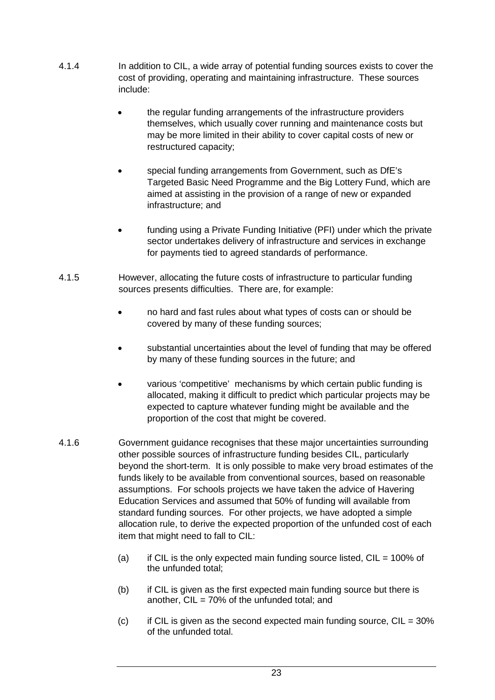- cost of providing, operating and maintaining infrastructure. These sources 4.1.4 In addition to CIL, a wide array of potential funding sources exists to cover the include:
	- the regular funding arrangements of the infrastructure providers themselves, which usually cover running and maintenance costs but may be more limited in their ability to cover capital costs of new or restructured capacity;
	- • special funding arrangements from Government, such as DfE's Targeted Basic Need Programme and the Big Lottery Fund, which are aimed at assisting in the provision of a range of new or expanded infrastructure; and
	- funding using a Private Funding Initiative (PFI) under which the private sector undertakes delivery of infrastructure and services in exchange for payments tied to agreed standards of performance.
- 4.1.5 However, allocating the future costs of infrastructure to particular funding sources presents difficulties. There are, for example:
	- no hard and fast rules about what types of costs can or should be covered by many of these funding sources;
	- • substantial uncertainties about the level of funding that may be offered by many of these funding sources in the future; and
	- various 'competitive' mechanisms by which certain public funding is expected to capture whatever funding might be available and the proportion of the cost that might be covered. allocated, making it difficult to predict which particular projects may be
- item that might need to fall to CIL: 4.1.6 Government guidance recognises that these major uncertainties surrounding other possible sources of infrastructure funding besides CIL, particularly beyond the short-term. It is only possible to make very broad estimates of the funds likely to be available from conventional sources, based on reasonable assumptions. For schools projects we have taken the advice of Havering Education Services and assumed that 50% of funding will available from standard funding sources. For other projects, we have adopted a simple allocation rule, to derive the expected proportion of the unfunded cost of each
	- (a) if CIL is the only expected main funding source listed,  $CIL = 100\%$  of the unfunded total;
	- (b) if CIL is given as the first expected main funding source but there is another,  $CIL = 70\%$  of the unfunded total; and
	- $(c)$  if CIL is given as the second expected main funding source, CIL = 30% of the unfunded total.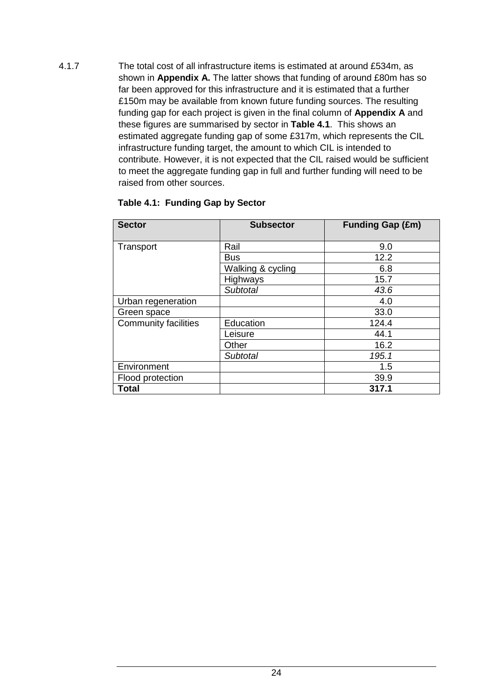funding gap for each project is given in the final column of **Appendix A** and estimated aggregate funding gap of some £317m, which represents the CIL infrastructure funding target, the amount to which CIL is intended to to meet the aggregate funding gap in full and further funding will need to be 4.1.7 The total cost of all infrastructure items is estimated at around £534m, as shown in **Appendix A.** The latter shows that funding of around £80m has so far been approved for this infrastructure and it is estimated that a further £150m may be available from known future funding sources. The resulting these figures are summarised by sector in **Table 4.1**. This shows an contribute. However, it is not expected that the CIL raised would be sufficient raised from other sources.

| <b>Sector</b>               | <b>Subsector</b>  | <b>Funding Gap (£m)</b> |
|-----------------------------|-------------------|-------------------------|
| Transport                   | Rail              | 9.0                     |
|                             | <b>Bus</b>        | 12.2                    |
|                             | Walking & cycling | 6.8                     |
|                             | Highways          | 15.7                    |
|                             | <b>Subtotal</b>   | 43.6                    |
| Urban regeneration          |                   | 4.0                     |
| Green space                 |                   | 33.0                    |
| <b>Community facilities</b> | Education         | 124.4                   |
|                             | Leisure           | 44.1                    |
|                             | Other             | 16.2                    |
|                             | Subtotal          | 195.1                   |
| Environment                 |                   | 1.5                     |
| Flood protection            |                   | 39.9                    |
| <b>Total</b>                |                   | 317.1                   |

#### **Table 4.1: Funding Gap by Sector**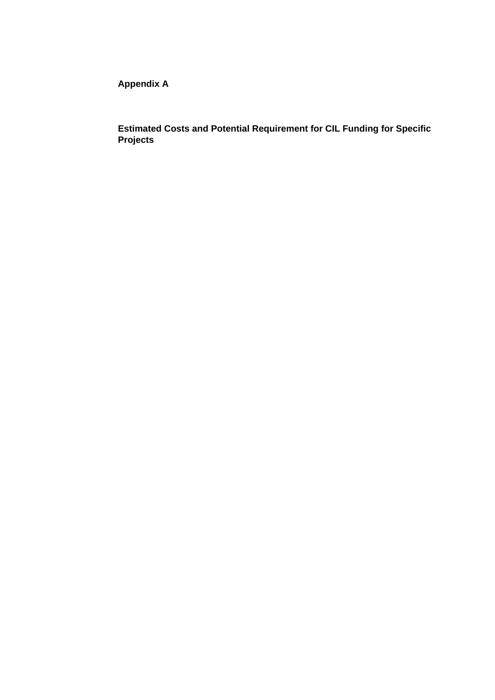**Appendix A** 

**Estimated Costs and Potential Requirement for CIL Funding for Specific Projects**